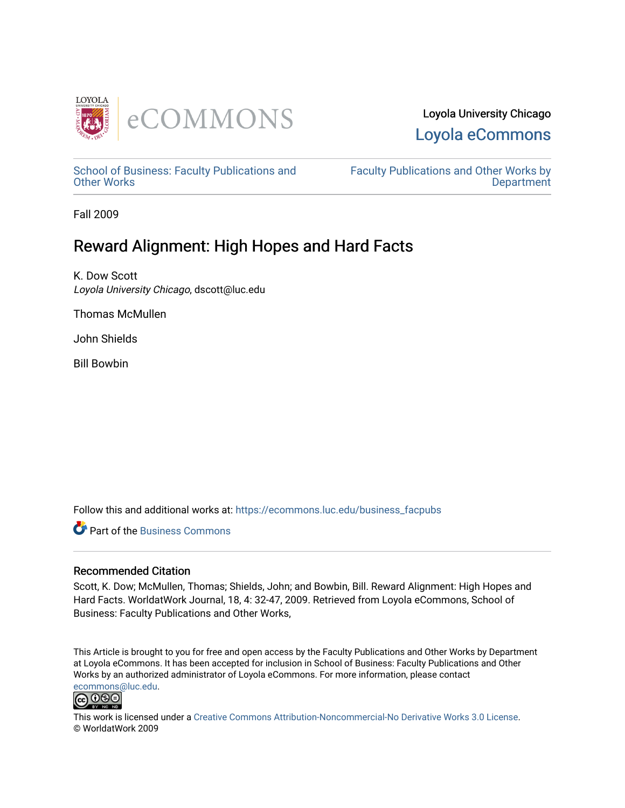



[School of Business: Faculty Publications and](https://ecommons.luc.edu/business_facpubs) [Other Works](https://ecommons.luc.edu/business_facpubs)

[Faculty Publications and Other Works by](https://ecommons.luc.edu/faculty)  **Department** 

Fall 2009

# Reward Alignment: High Hopes and Hard Facts

K. Dow Scott Loyola University Chicago, dscott@luc.edu

Thomas McMullen

John Shields

Bill Bowbin

Follow this and additional works at: [https://ecommons.luc.edu/business\\_facpubs](https://ecommons.luc.edu/business_facpubs?utm_source=ecommons.luc.edu%2Fbusiness_facpubs%2F122&utm_medium=PDF&utm_campaign=PDFCoverPages) 

**C** Part of the [Business Commons](http://network.bepress.com/hgg/discipline/622?utm_source=ecommons.luc.edu%2Fbusiness_facpubs%2F122&utm_medium=PDF&utm_campaign=PDFCoverPages)

# Recommended Citation

Scott, K. Dow; McMullen, Thomas; Shields, John; and Bowbin, Bill. Reward Alignment: High Hopes and Hard Facts. WorldatWork Journal, 18, 4: 32-47, 2009. Retrieved from Loyola eCommons, School of Business: Faculty Publications and Other Works,

This Article is brought to you for free and open access by the Faculty Publications and Other Works by Department at Loyola eCommons. It has been accepted for inclusion in School of Business: Faculty Publications and Other Works by an authorized administrator of Loyola eCommons. For more information, please contact [ecommons@luc.edu](mailto:ecommons@luc.edu).



This work is licensed under a [Creative Commons Attribution-Noncommercial-No Derivative Works 3.0 License.](https://creativecommons.org/licenses/by-nc-nd/3.0/) © WorldatWork 2009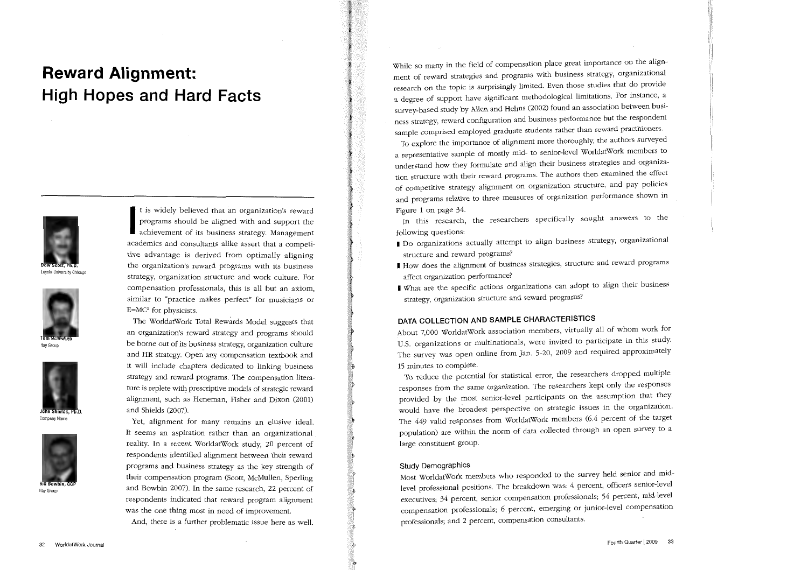# **Reward Alignment: High Hopes and Hard Facts**



Loyola University Chicago



Hay Group



Company Name



Hay Group

programs should be aligned with and support the achievement of its business strategy. Management academics and consultants alike assert that a competitive advantage is derived from optimally aligning the organization's reward programs with its business strategy, organization structure and work culture. For compensation professionals, this is all but an axiom, similar to "practice makes perfect" for musicians or  $E=MC^2$  for physicists.

t is widely believed that an organization's reward

The WorldatWork Total Rewards Model suggests that an organization's reward strategy and programs should be borne out of its business strategy, organization culture and HR strategy. Open. any compensation textbook and it will include chapters dedicated to linking business strategy and reward programs. The compensation literature is replete with prescriptive models of strategic reward alignment, such as Heneman, Fisher and Dixon (2001) and Shields (2007).

Yet, alignment for many remains an elusive ideal. It seems an aspiration rather than an organizational reality. In a recent WorldatWork study, 20 percent of respondents identified alignment between their reward programs and business strategy as the key strength of their compensation program (Scott, McMullen, Sperling and Bowbin 2007). In the same research, 22 percent of respondents indicated that reward program alignment was the one thing most in need of improvement. And, there is a further problematic issue here as well.

While so many in the field of compensation place great importance on the alignment of reward strategies and programs with business strategy, organizational research on the topic is surprisingly limited. Even those studies that do provide a degree of support have significant methodological limitations. For instance, a survey-based study by Allen and Helms (2002) found an association between business strategy, reward configuration and business performance but the respondent sample comprised employed graduate students rather than reward practitioners.

To explore the importance of alignment more thoroughly, the authors surveyed a representative sample of mostly mid- to senior-level WorldatWork members to understand how they formulate and align their business strategies and organization structure with their reward programs. The authors then examined the effect of competitive strategy alignment on organization structure, and pay policies and programs relative to three measures of organization performance shown in Figure 1 on page 34.

In this research, the researchers specifically sought answers to the following questions:

- I Do organizations actually attempt to align business strategy, organizational structure and reward programs?
- I How does the alignment of business strategies, structure and reward programs affect organization performance?
- I What are the specific actions organizations can adopt to align their business strategy, organization structure and reward programs?

# DATA COLLECTION AND SAMPLE CHARACTERISTICS

About 7,000 WorldatWork association members, virtually all of whom work for U.S. organizations or multinationals, were invited to participate in this study. The survey was open online from Jan. 5-20, 2009 and required approximately 15 minutes to complete.

To reduce the potential for statistical error, the researchers dropped multiple responses from the same organization. The researchers kept only the responses provided by the most senior-level participants on the assumption that they. would have the broadest perspective on strategic issues in the organization. The 449 valid responses from WorldatWork members (6.4 percent of the target population) are within the norm of data collected through an open survey to a large constituent group.

#### Study Demographics

Most WorldatWork members who responded to the survey held senior and midlevel professional positions. The breakdown was: 4 percent, officers senior-level executives; 34 percent, senior compensation professionals; 54 percent, mid-level compensation professionals; 6 percent, emerging or junior-level compensation professionals; and 2 percent, compensation consultants.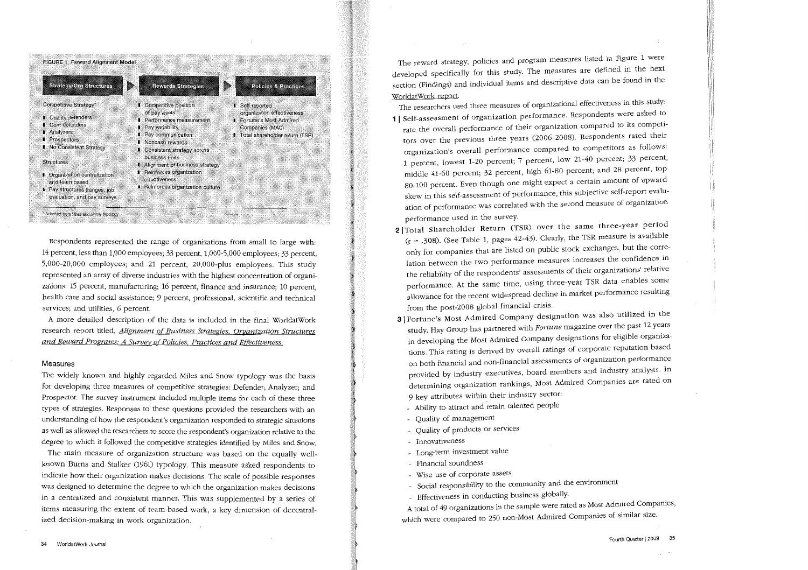

Respondents represented the range of organizations from small to large with: 14 percent, less than 1,000 employees; 33 percent, 1,000-5,000 employees; 33 percent, 5,000-20,000 employees; and 21 percent, 20,000-plus employees. This study represented an array of diverse industries with the highest concentration of organizations: 15 percent, manufacturing; 16 percent, finance and insurance; 10 percent, health care and social assistance; 9 percent, professional, scientific and technical services; and utilities, 6 percent.

A more detailed description of the data is included in the final WorldatWork research report titled, *Alignment of Business Strategies*, Organization Structures and Reward Programs: A Survey of Policies. Practices and Effectiveness.

## Measures

The widely known and highly regarded Miles and Snow typology was the basis for developing three measures of competitive strategies: Defender; Analyzer; and Prospector. The survey instrument included multiple items for each of these three types of strategies. Responses to these questions provided the researchers with an understanding of how the respondent's organization responded to strategic situations as well as allowed the researchers to score the respondent's organization relative to the degree to which it followed the competitive strategies identified by Miles and Snow.

The main measure of organization structure was based on the equally wellknown Burns and Stalker (1961) typology. This measure asked respondents to indicate how their organization makes decisions. The scale of possible responses was designed to determine the degree to which the organization makes decisions in a centralized and consistent manner. This was supplemented by a series of items measuring the extent of team-based work, a key dimension of decentralized decision-making in work organization.

The reward strategy, policies and program measures listed in Figure 1 were developed specifically for this study. The measures are defined in the next section (Findings) and individual items and descriptive data can be found in the WorldatWork report.

- The researchers used three measures of organizational effectiveness in this study: 1 I Self-assessment of organization performance. Respondents were asked to rate the overall performance of their organization compared to its competitors over the previous three years (2006-2008). Respondents rated their organization's overall performance compared to competitors as follows: 1 percent, lowest 1-20 percent; 7 percent, low 21-40 percent; 33 percent, middle 41-60 percent; 32 percent, high 61-80 percent; and 28 percent, top 80-100 percent. Even though one might expect a certain amount of upward skew in this self-assessment of performance, this subjective self-report evaluation of performance was correlated with the second measure of organization performance used in the survey.
- 2 | Total Shareholder Return (TSR) over the same three-year period (r = .308). (See Table 1, pages 42-43). Clearly, the TSR measure is available only for companies that are listed on public stock exchanges, but the correlation between the two performance measures increases the confidence in the reliability of the respondents' assessments of their organizations' relative performance. At the same time, using three-year TSR data enables some allowance for the recent widespread decline in market performance resulting from the post-2008 global financial crisis.
- 3 I Fortune's Most Admired Company designation was also utilized in the study. Hay Group has partnered with Fortune magazine over the past 12 years in developing the Most Admired Company designations for eligible organizations. This rating is derived by overall ratings of corporate reputation based on both financial and non-financial assessments of organization performance provided by industry executives, board members and industry analysts. In determining organization rankings) Most Admired Companies are rated on 9 key attributes within their industry sector:
	- Ability to attract and retain talented people
	- Quality of management
	- Quality of products or services
	- Innovativeness
	- Long-term investment value
- Financial soundness
- Wise use of corporate assets
- Social responsibility to the community and the environment
- Effectiveness in conducting business globally.

A total of 49 organizations in the sample were rated as Most Admired Companies, which were compared to 250 non-Most Admired Companies of similar size.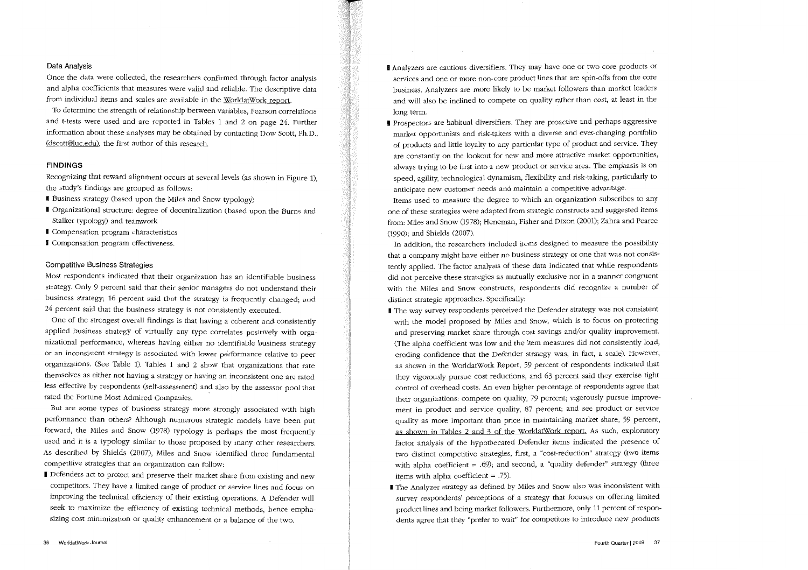# Data Analysis

Once the data were collected, the researchers confirmed through factor analysis and alpha coefficients that measures were valid and reliable. The descriptive data from individual items and scales are available in the WorldatWork report.

To determine the strength of relationship between variables, Pearson correlations and t-tests were used and are reported in Tables 1 and 2 on page 24. Further information about these analyses may be obtained by contacting Dow Scott, Ph.D., (dscott@luc.edu), the first author of this research.

# FINDINGS

Recognizing that reward alignment occurs at several levels (as shown in Figure 1), the study's findings are grouped as follows:

- I Business strategy (based upon the Miles and Snow typology)
- I Organizational structure: degree of decentralization (based upon the Burns and Stalker typology) and teamwork
- **I** Compensation program characteristics
- **I** Compensation program effectiveness.

## Competitive Business Strategies

Most respondents indicated that their organization has an identifiable business strategy. Only 9 percent said that their senior managers do not understand their business strategy; 16 percent said that the strategy is frequently changed; and 24 percent said that the business strategy is not consistently executed.

One of the strongest overall findings is that having a coherent and consistently applied business strategy of virtually any type correlates positively with organizational performance, whereas having either no identifiable business strategy or an inconsistent strategy is associated with lower performance relative to peer organizations. (See Table 1). Tables 1 and 2 show that organizations that rate themselves as either not having a strategy or having an inconsistent one are rated less effective by respondents (self-assessment) and also by the assessor pool that rated the Fortune Most Admired Companies.

But are some types of business strategy more strongly associated with high performance than others? Although numerous strategic models have been put forward, the Miles and Snow (1978) typology is perhaps the most frequently used and it is a typology similar to those proposed by many other researchers. As described by Shields (2007), Miles and Snow identified three fundamental competitive strategies that an organization can follow:

I Defenders act to protect and preserve their market share from existing and new competitors. They have a limited range of product or service lines and focus on improving the technical efficiency of their existing operations. A Defender will seek to maximize the efficiency of existing technical methods, hence emphasizing cost minimization or quality enhancement or a balance of the two.

- I Analyzers are cautious diversifiers. They may have one or two core products or services and one or more non-core product lines that are spin-offs from the core business. Analyzers are more likely to be market followers than market leaders and will also be inclined to compete on quality rather than cost, at least in the long term.
- **I** Prospectors are habitual diversifiers. They are proactive and perhaps aggressive market opportunists and risk-takers with a diverse and ever-changing portfolio of products and little loyalty to any particular type of product and service. They are constantly on the lookout for new and more attractive market opportunities, always trying to be first into a new product or service area. The emphasis is on speed, agility, technological dynamism, flexibility and risk-taking, particularly to anticipate new customer needs and maintain a competitive advantage.

Items used to measure the degree to which an organization subscribes to any one of these strategies were adapted from strategic constructs and suggested items from: Miles and Snow (1978); Heneman, Fisher and Dixon (2001); Zahra and Pearce (1990); and Shields (2007).

In addition, the researchers included items designed to measure the possibility that a company might have either no business strategy or one that was not consistently applied. The factor analysis of these data indicated that while respondents did not perceive these strategies as mutually exclusive nor in a manner congruent with the Miles and Snow constructs, respondents did recognize a number of distinct strategic approaches. Specifically:

- I The way survey respondents perceived the Defender strategy was not consistent with the model proposed by Miles and Snow, which is to focus on protecting and preserving market share through cost savings and/or quality improvement. (The alpha coefficient was low and the item measures did not consistently load, eroding confidence that the Defender strategy was, in fact, a scale). However, as shown in the WorldatWork Report, 59 percent of respondents indicated that they vigorously pursue cost reductions, and 63 percent said they exercise tight control of overhead costs. An even higher percentage of respondents agree that their organizations: compete on quality, 79 percent; vigorously pursue improvement in product and service quality, 87 percent; and see product or service quality as more important than price in maintaining market share, 59 percent, as shown in Tables 2 and 3 of the WorldatWork report. As such, exploratory factor analysis of the hypothecated Defender items indicated the presence of two distinct competitive strategies, first, a "cost-reduction" strategy (two items with alpha coefficient = .69); and second, a "quality defender" strategy (three items with alpha coefficient  $= .75$ ).
- I The Analyzer strategy as defined by Miles and Snow also was inconsistent with survey respondents' perceptions of a strategy that focuses on offering limited product lines and being market followers. Furthermore, only 11 percent of respondents agree that they "prefer to wait" for competitors to introduce new products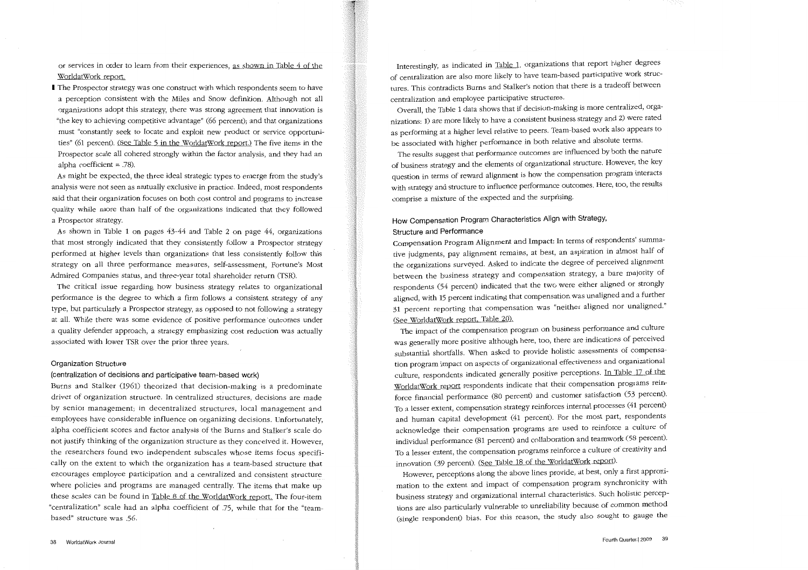or services in order to learn from their experiences, as shown in Table 4 of the WorldatWork report

I The Prospector strategy was one construct with which respondents seem to have a perception consistent with the Miles and Snow definition. Although not all organizations adopt this strategy, there was strong agreement that innovation is "the key to achieving competitive advantage" (66 percent); and that organizations must "constantly seek to locate and exploit new product or service opportunities" (61 percent). (See Table 5 in the WorldatWork report.) The five items in the Prospector scale all cohered strongly within the factor analysis, and they had an alpha coefficient  $= .78$ ).

As might be expected, the three ideal strategic types to emerge from the study's analysis were not seen as mutually exclusive in practice. Indeed, most respondents said that their organization focuses on both cost control and programs to increase quality while more than half of the organizations indicated that they followed a Prospector strategy.

As shown in Table 1 on pages 43-44 and Table 2 on page 44, organizations that most strongly indicated that they consistently follow a Prospector strategy performed at higher levels than organizations that less consistently follow this strategy on all three performance measures, self-assessment, Fortune's Most Admired Companies status, and three-year total shareholder return (TSR).

The critical issue regarding how business strategy relates to organizational performance is the degree to which a firm follows a consistent strategy of any type, but particularly a Prospector strategy, as opposed to not following a strategy at all. While there was some evidence of positive performance 'outcomes under a quality defender approach, a strategy emphasizing cost reduction was actually associated with lower TSR over the prior three years.

#### Organization Structure

#### (centralization of decisions and participative team-based work)

Burns and Stalker (1961) theorized that decision-making is a predominate driver of organization structure. In centralized structures, decisions are made by senior management; in decentralized structures, local management and employees have considerable influence on organizing decisions. Unfortunately, alpha coefficient scores and factor analysis of the Burns and Stalker's scale do not justify thinking of the organization structure as they conceived it. However, the researchers found two independent subscales whose items focus specifically on the extent to which the organization has a team-based structure that encourages employee participation and a centralized and consistent structure where policies and programs are managed centrally. The items that make up these scales can be found in Table 8 of the WorldatWork report. The four-item "centralization" scale had an alpha coefficient of .75, while that for the "teambased" structure was .56.

Interestingly, as indicated in Table 1, organizations that report higher degrees of centralization are also more likely to have team-based participative work structures. This contradicts Burns and Stalker's notion that there is a tradeoff between centralization and employee participative structures.

Overall, the Table 1 data shows that if decision-making is more centralized, organizations: 1) are more likely to have a consistent business strategy and 2) were rated as performing at a higher level relative to peers. Team-based work also appears to be associated with higher performance in both relative and absolute terms.

The results suggest that performance outcomes are influenced by both the nature of business strategy and the elements of organizational structure. However, the key question in terms of reward alignment is how the compensation program interacts with strategy and structure to influence performance outcomes. Here, too, the results comprise a mixture of the expected and the surprising.

# How Compensation Program Characteristics Align with Strategy, Structure and Performance

Compensation Program Alignment and Impact: In terms of respondents' summative judgments, pay alignment remains, at best, an aspiration in almost half of the organizations surveyed. Asked to indicate the degree of perceived alignment between the business strategy and compensation strategy, a bare majority of respondents (54 percent) indicated that the two were either aligned or strongly aligned, with 15 percent indicating that compensation was unaligned and a further 31 percent reporting that compensation was "neither aligned nor unaligned." (See WorldatWork report, Table 20).

The impact of the compensation program on business performance and culture was generally more positive although here, too, there are indications of perceived substantial shortfalls. When asked to provide holistic assessments of compensation program impact on aspects of organizational effectiveness and organizational culture, respondents indicated generally positive perceptions. In Table 17 of the WorldatWork report respondents indicate that their compensation programs reinforce financial performance (80 percent) and customer satisfaction (53 percent). To a lesser extent, compensation strategy reinforces internal processes (41 percent) and human capital development (41 percent). For the most part, respondents acknowledge their compensation programs are used to reinforce a culture of individual performance (81 percent) and collaboration and teamwork (58 percent). To a lesser extent, the compensation programs reinforce a culture of creativity and innovation (39 percent). (See Table 18 of the WorldatWork report).

However, perceptions along the above lines provide, at best, only a first approximation to the extent and impact of compensation program synchronicity with business strategy and organizational internal characteristics. Such holistic perceptions are also particularly vulnerable to unreliability because of common method (single respondent) bias. For this reason, the study also sought to gauge the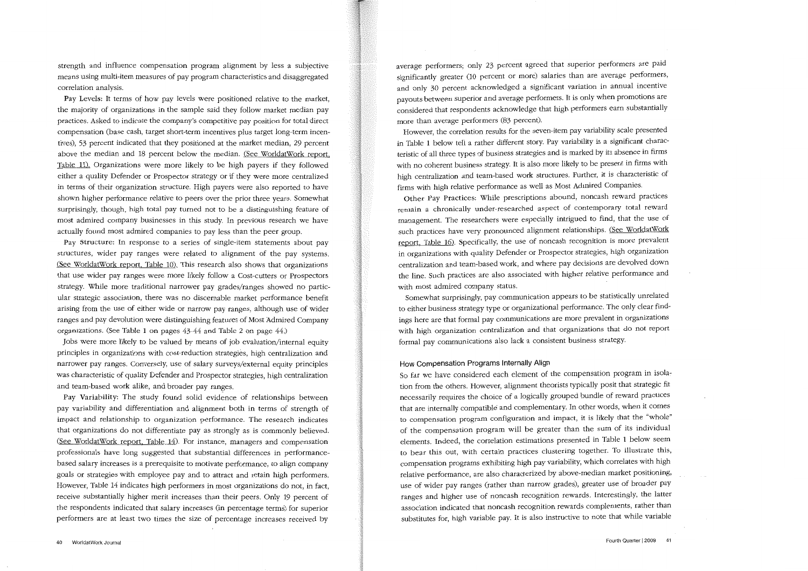**strength and influence compensation program alignment by less a subjective means using multi-item measures of pay program characteristics and disaggregated correlation analysis.** 

Pay Levels: It terms of how pay levels were positioned relative to the market, the majority of organizations in the sample said they follow market median pay practices. Asked to indicate the company's competitive pay position for total direct **compensation (base cash, target short-term incentives plus target long-term incen**tives), 53 percent indicated that they positioned at the market median, 29 percent above the median and 18 percent below the median. (See WorldatWork report Table 11). Organizations were more likely to be high payers if they followed either a quality Defender or Prospector strategy or if they were more centralized **in terms of their organization structure. High payers were also reported to have shown higher performance relative to peers over the prior three years. Somewhat**  surprisingly, though, high total pay turned not to be a distinguishing feature of **most admired company businesses in this study. In previous research we have**  actually found most admired companies to pay less than the peer group.

**Pay Structure: In response to a series of single-item statements about pay**  structures, wider pay ranges were related to alignment of the pay systems. (See WorldatWork report, Table 10). This research also shows that organizations that use wider pay ranges were more likely follow a Cost-cutters or Prospectors strategy. While more traditional narrower pay grades/ranges showed no partic**ular strategic association, there was no discernable market performance benefit**  arising from the use of either wide or narrow pay ranges, although use of wider ranges and pay devolution were distinguishing features of Most Admired Company organizations. (See Table 1 on pages 43-44 and Table 2 on page 44.)

Jobs were more likely to be valued by means of job evaluation/internal equity **principles in organizations with cost-reduction strategies, high centralization and**  narrower pay ranges. Conversely, use of salary surveys/external equity principles was characteristic of quality Defender and Prospector strategies, high centralization and team-based work alike, and broader pay ranges.

Pay Variability: The study found solid evidence of relationships between pay variability and differentiation and alignment both in terms of strength of **impact and relationship to organization performance. The research indicates**  that organizations do not differentiate pay as strongly as is commonly believed. (See WorldatWork report, Table 14). For instance, managers and compensation professionals have long suggested that substantial differences in performance**based salary increases is a prerequisite to motivate performance, to align company**  goals or strategies with employee pay and to attract and retain high performers. **However, Table 14 indicates high performers in most organizations do not, in fact,**  receive substantially higher merit increases than their peers. Only 19 percent of the respondents indicated that salary increases (in percentage terms) for superior **performers are at least two times the size of percentage increases received by**  average performers; only 23 percent agreed that superior performers are paid significantly greater (10 percent or more) salaries than are average performers, **and only 30 percent acknowledged a significant variation in annual incentive payouts between superior and average performers. It is only when promotions are**  considered that respondents acknowledge that high performers earn substantially more than average performers (83 percent).

**However, the correlation results for the seven-item pay variability scale presented**  in Table 1 below tell a rather different story. Pay variability is a significant characteristic of all three types of business strategies and is marked by its absence in firms with no coherent business strategy. It is also more likely to be present in firms with **high centralization and team-based work structures. Further, it is characteristic of**  firms with high relative performance as well as Most Admired Companies.

**Other Pay Practices: While prescriptions abound, noncash reward practices remain a chronically under-researched aspect of contemporary total reward**  management. The researchers were especially intrigued to find, that the use of such practices have very pronounced alignment relationships. (See WorldatWork report, Table  $16$ ). Specifically, the use of noncash recognition is more prevalent **in organizations with quality Defender or Prospector strategies, high organization centralization and team-based work, and where pay decisions are devolved down**  the line. Such practices are also associated with higher relative performance and **with most admired company status.** 

Somewhat surprisingly, pay communication appears to be statistically unrelated to either business strategy type or organizational performance. The only clear find**ings here are that formal pay communications are more prevalent in organizations**  with high organization centralization and that organizations that do not report **formal pay communications also lack a consistent business strategy.** 

# How Compensation Programs Internally Align

So far we have considered each element of the compensation program in isolation from the others. However, alignment theorists typically posit that strategic fit necessarily requires the choice of a logically grouped bundle of reward practices that are internally compatible and complementary. In other words, when it comes to compensation program configuration and impact, it is likely that the "whole" of the compensation program will be greater than the sum of its individual **elements. Indeed, the correlation estimations presented in Table 1 below seem**  to bear this out, with certain practices clustering together. To illustrate this, compensation programs exhibiting high pay variability, which correlates with high **relative performance, are also characterized by above-median market positioning,**  use of wider pay ranges (rather than narrow grades), greater use of broader pay ranges and higher use of noncash recognition rewards. Interestingly, the latter **association indicated that noncash recognition rewards complements, rather than**  substitutes for, high variable pay. It is also instructive to note that while variable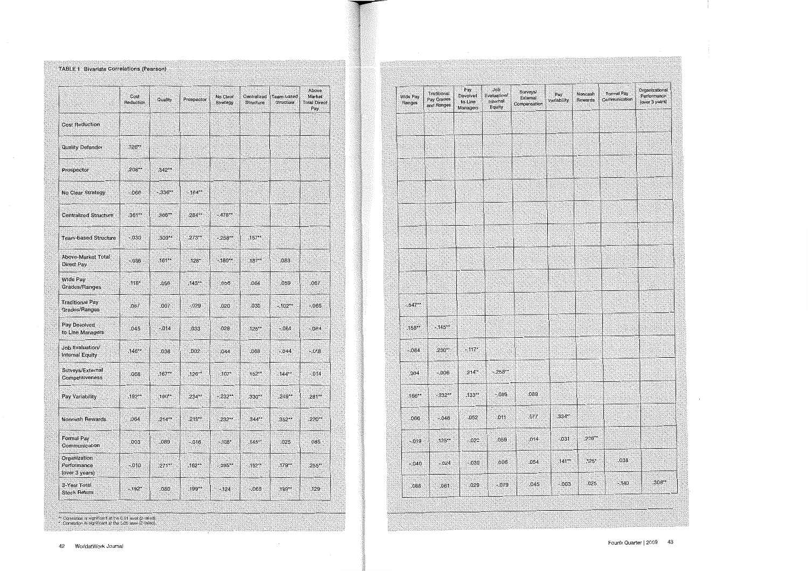# TABLE 1 Bivariate Correlations (Pearson)

**THE REAL PROPERTY AND REAL PROPERTY** 

|                                               | Cost<br>Reduction | Quality  | Prospector | No Clear<br>Strategy | Centralized<br>Structure | Team-based<br><b>Structure</b> | Above<br>Market<br><b>Total Direct</b><br>Pay |
|-----------------------------------------------|-------------------|----------|------------|----------------------|--------------------------|--------------------------------|-----------------------------------------------|
| <b>Cost Reduction</b>                         |                   |          |            |                      |                          |                                |                                               |
| <b>Quality Defender</b>                       | 126**             |          |            |                      |                          |                                |                                               |
| Prospector                                    | $.208***$         | .342**   |            |                      |                          |                                |                                               |
| No Clear Strategy                             | $-066$            | $-336**$ | $-164**$   |                      |                          |                                |                                               |
| <b>Centralized Structure</b>                  | .361**            | 366**    | .284**     | $-478**$             |                          |                                |                                               |
| <b>Team-based Structure</b>                   | $-0.30$           | .309**   | $.273**$   | $-258$               | $.157**$                 |                                |                                               |
| Above-Market Total<br>Direct Pay              | $-0.36$           | $.161**$ | .128*      | $-180$ **            | .187**                   | .083                           |                                               |
| Wide Pay<br><b>Grades/Ranges</b>              | $.118*$           | .056     | $.143**$   | 056                  | .064                     | .059                           | .067                                          |
| <b>Traditional Pay</b><br>Grades/Ranges       | .057              | .007     | $-029$     | .020                 | .030                     | $-102**$                       | $-065$                                        |
| Pay Devolved<br>to Line Managers              | .045              | $-014$   | .033       | .028                 | $.125**$                 | $-064$                         | $-064$                                        |
| Job Evaluation/<br><b>Internal Equity</b>     | .146**            | 038      | 002        | .044                 | .068                     | $-044$                         | $-0.018$                                      |
| Surveys/External<br>Competitiveness           | 068               | $.167**$ | $.126**$   | $-107^*$             | $.152**$                 | $144**$                        | $-014$                                        |
| Pay Variability                               | $.192***$         | .190**   | .234**     | $-232**$             | .330**                   | .249**                         | $281**$                                       |
| Noncash Rewards                               | .064              | $.214**$ | $.219**$   | $.232**$             | $344**$                  | 352**                          | .220**                                        |
| <b>Formal Pay</b><br>Communication            | 003               | ,089     | $-016$     | $-108*$              | .145**                   | .025                           | 085                                           |
| Organization<br>Performance<br>(over 3 years) | $-010$            | $271**$  | .162**     | $-295$ **            | .192**                   | $.179**$                       | 255**                                         |
| 3-Year Total<br><b>Stock Return</b>           | $-192*$           | .080     | $.199**$   | $-124$               | $-066$                   | .199**                         | 129                                           |

| Wide Pay<br>Ranges | Traditional<br><b>Pay Grades</b><br>and Ranges | Pay<br>Devolved<br>to Line<br>Managers | <b>Job</b><br>Evaluation/<br>Internal<br>Equity | Surveys/<br>External<br>Compensation | Pay<br>Variability | Noncash<br>Rewards | Formal Pay<br>Communication | Organizational<br>Performance<br>(over 3 years) |
|--------------------|------------------------------------------------|----------------------------------------|-------------------------------------------------|--------------------------------------|--------------------|--------------------|-----------------------------|-------------------------------------------------|
|                    |                                                |                                        |                                                 |                                      |                    |                    |                             |                                                 |
|                    |                                                |                                        |                                                 |                                      |                    |                    |                             |                                                 |
|                    |                                                |                                        |                                                 |                                      |                    |                    |                             |                                                 |
|                    |                                                |                                        |                                                 |                                      |                    |                    |                             |                                                 |
|                    |                                                |                                        |                                                 |                                      |                    |                    |                             |                                                 |
| <b>SHOES</b>       |                                                |                                        | W                                               |                                      |                    | 812B               |                             |                                                 |
|                    |                                                |                                        |                                                 |                                      |                    |                    |                             |                                                 |
|                    |                                                |                                        |                                                 |                                      |                    |                    |                             |                                                 |
| $-.347**$          |                                                |                                        |                                                 |                                      |                    |                    |                             |                                                 |
| $.158**$           | $-145**$                                       |                                        |                                                 |                                      |                    |                    |                             |                                                 |
| $-.084$            | .230**                                         | $-117''$                               |                                                 |                                      |                    |                    |                             |                                                 |
| .004               | $-0.06$                                        | $.214**$                               | $-258$                                          |                                      |                    |                    |                             |                                                 |
| $166**$            | $-232**$                                       | $.133**$                               | $-.086.$                                        | .089                                 |                    |                    |                             |                                                 |
| .066               | $-046$                                         | .052                                   | .011                                            | .077                                 | .334**             |                    |                             |                                                 |
| $-019$             | $,125**$                                       | .022                                   | .059                                            | .014                                 | $-031$             | $,228**$           |                             |                                                 |
| $-.040$            | $-.024$                                        | $-.039$                                | 006                                             | .054                                 | $141 -$            | ,125"              | .038                        |                                                 |
| .086               | .061                                           | .029                                   | $-079$                                          | .045                                 | $-003$             | .025               | $-140$                      | .308**                                          |

- 1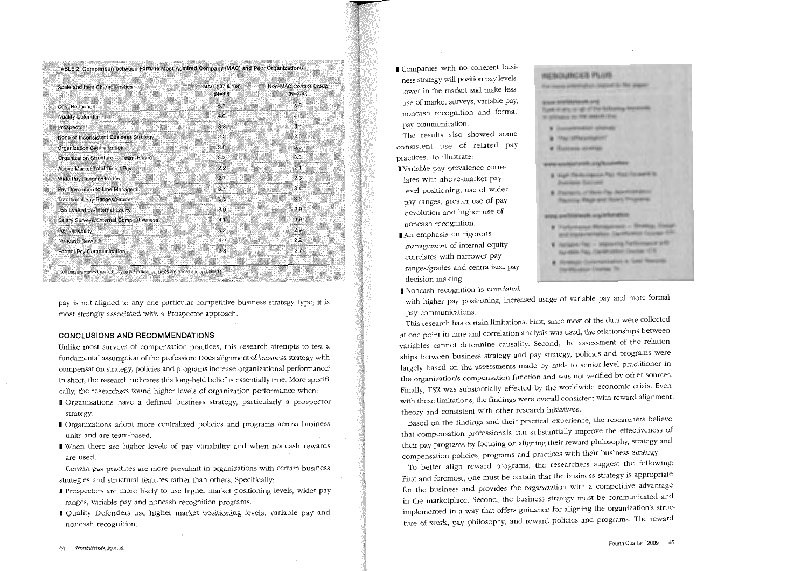TABLE 2 Comparison between Fortune Most Admired Company (MAC) and Peer Organizations

| Scale and Item Characteristics          | MAC ('07 & '08)<br>$(N=49)$ | Non-MAC Control Group<br>$(N=250)$ |
|-----------------------------------------|-----------------------------|------------------------------------|
| Cost Reduction                          | 3.7 <sup>°</sup>            | 3.6                                |
| Quality Defender                        | 4.0                         | 40                                 |
| Prospector                              | 3,8                         | 3,4                                |
| None or Inconsistent Business Strategy  | $2.2^{\circ}$               | 2.5                                |
| Organization Centralization             | 3.6                         | 3.3                                |
| Organization Structure - Team-Based     | 3.3 <sub>3</sub>            | 3.3                                |
| Above Market Total Direct Pay           | 2.2                         | 2.1                                |
| Wide Pay Ranges/Grades                  | 2.7                         | 2.3                                |
| Pay Devolution to Line Managers         | 3.7                         | 3.4                                |
| <b>Traditional Pay Ranges/Grades</b>    | 3.3                         | 3.6                                |
| Job Evaluation/Internal Equity          | 3.0                         | 2.9                                |
| Salary Surveys/External Competitiveness | 4.1                         | 3.9                                |
| Pay Variability                         | 3.2                         | 2.9                                |
| Noncash Rewards                         | 3.2                         | 2.9                                |
| Formal Pay Communication                | 2.8                         | 2.7                                |

pay is not aligned to any one particular competitive business strategy type; it is most strongly associated with a Prospector approach.

### CONCLUSIONS AND RECOMMENDATIONS

Unlike most surveys of compensation practices, this research attempts to test a fundamental assumption of the profession: Does alignment of business strategy with compensation strategy, policies and programs increase organizational performance? In short, the research indicates this long-held belief is essentially true. More specifically, the researchers found higher levels of organization performance when:

- I Organizations have a defined business strategy, particularly a prospector strategy.
- I Organizations adopt more centralized policies and programs across business units and are team-based.
- I When there are higher levels of pay variability and when noncash rewards are used.

Certain pay practices are more prevalent in organizations with certain business strategies and structural features rather than others. Specifically:

- I Prospectors are more likely to use higher market positioning levels, wider pay ranges, variable pay and noncash recognition programs.
- I Quality Defenders use higher market positioning levels, variable pay and noncash recognition.

I Companies with no coherent business strategy will position pay levels lower in the market and make less use of market surveys, variable pay, noncash recognition and formal pay communication.

The results also showed some consistent use of related pay practices. To illustrate:

- I Variable pay prevalence correlates with above-market pay level positioning, use of wider pay ranges, greater use of pay devolution and higher use of noncash recognition.
- I An emphasis on rigorous management of internal equity correlates with narrower pay ranges/grades and centralized pay decision-making.
- I Noncash recognition is correlated

# *REBOURGES PLUB*

that many information counsel to The anger-

#### premiers/distancement Total of the of the following boyses the to admission to the match that

- **W** Governmentalizer (Shifting)
- **a** Hackfletometer!
- **W** Hustons Manner

#### www.www.faisdcorphi.org/facedoment

- A 1944 Techniques Pay Roll Covert to **Business Satised**
- A President of Bank Fla. Administration **Playming, West and Told L. Phispanes**

#### anno anchiarano in majisticratizi

- & Harbertsmit Blungament Struttig, Energy and instancements themselves depend the
- 4 Northern Pay Imposing Participance of the Automobile, Carolination Courtes (19)
- · Howard Communisties in Tele Telephone **TO/FREARIST ENGINE TO**

with higher pay positioning, increased usage of variable pay and more formal pay communications.

This research has certain limitations. First, since most of the data were collected at one point in time and correlation analysis was used, the relationships between variables cannot determine causality. Second, the assessment of the relationships between business strategy and pay strategy, policies and programs were largely based on the assessments made by mid- to senior-level practitioner in the organization's compensation function and was not verified by other sources. Finally, TSR was substantially effected by the worldwide economic crisis. Even with these limitations, the findings were overall consistent with reward alignment theory and consistent with other research initiatives.

Based on the findings and their practical experience, the researchers believe that compensation professionals can substantially improve the effectiveness of their pay programs by focusing on aligning their reward philosophy, strategy and compensation policies, programs and practices with their business strategy.

To better align reward programs, the researchers suggest the following: First and foremost, one must be certain that the business strategy is appropriate for the business and provides the organization with a competitive advantage in the marketplace. Second, the business strategy must be communicated and implemented in a way that offers guidance for aligning the organization's structure of work, pay philosophy, and reward policies and programs. The reward